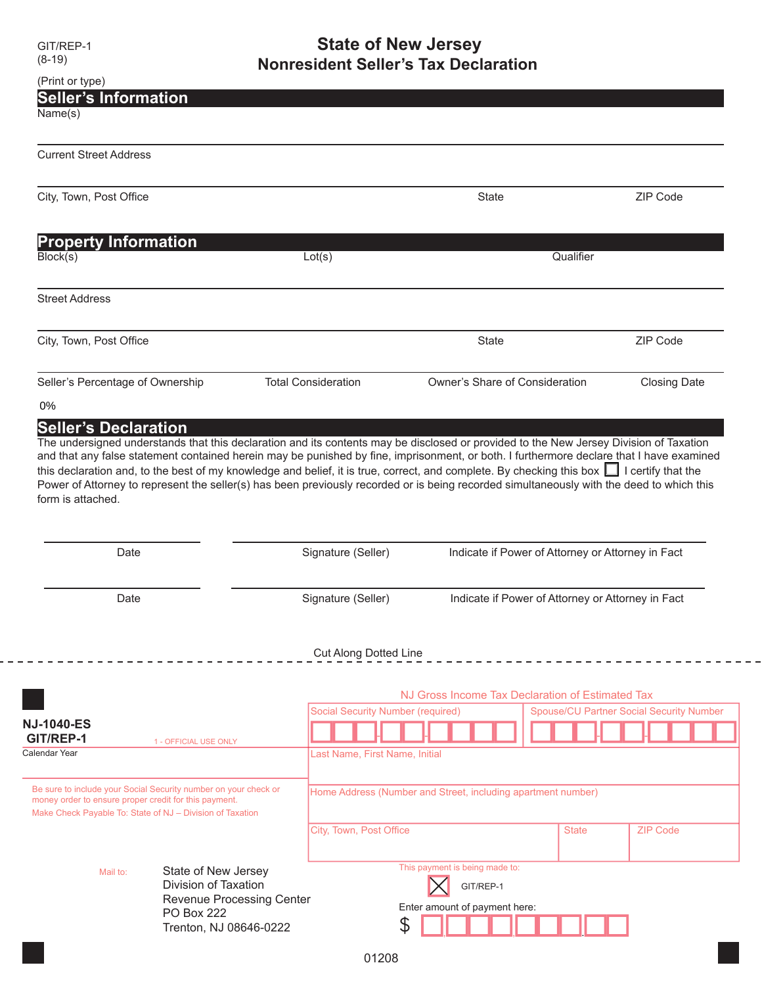$\frac{1}{2}$ 

## GIT/REP-1 **State of New Jersey** (8-19) **Nonresident Seller's Tax Declaration**

| <b>Seller's Information</b><br>Name(s)                                                                                                                                                             |                                                                                                                                                                                                                                                                                                                                                                                                                                          |                                          |                                                              |                                                   |                                                 |
|----------------------------------------------------------------------------------------------------------------------------------------------------------------------------------------------------|------------------------------------------------------------------------------------------------------------------------------------------------------------------------------------------------------------------------------------------------------------------------------------------------------------------------------------------------------------------------------------------------------------------------------------------|------------------------------------------|--------------------------------------------------------------|---------------------------------------------------|-------------------------------------------------|
| <b>Current Street Address</b>                                                                                                                                                                      |                                                                                                                                                                                                                                                                                                                                                                                                                                          |                                          |                                                              |                                                   |                                                 |
| City, Town, Post Office                                                                                                                                                                            |                                                                                                                                                                                                                                                                                                                                                                                                                                          |                                          | <b>State</b>                                                 |                                                   | ZIP Code                                        |
| <b>Property Information</b>                                                                                                                                                                        |                                                                                                                                                                                                                                                                                                                                                                                                                                          |                                          |                                                              |                                                   |                                                 |
| Block(s)                                                                                                                                                                                           |                                                                                                                                                                                                                                                                                                                                                                                                                                          | Lot(s)                                   |                                                              | Qualifier                                         |                                                 |
| <b>Street Address</b>                                                                                                                                                                              |                                                                                                                                                                                                                                                                                                                                                                                                                                          |                                          |                                                              |                                                   |                                                 |
| City, Town, Post Office                                                                                                                                                                            |                                                                                                                                                                                                                                                                                                                                                                                                                                          |                                          | State                                                        |                                                   | ZIP Code                                        |
| Seller's Percentage of Ownership                                                                                                                                                                   |                                                                                                                                                                                                                                                                                                                                                                                                                                          | <b>Total Consideration</b>               | Owner's Share of Consideration                               |                                                   | <b>Closing Date</b>                             |
| 0%                                                                                                                                                                                                 |                                                                                                                                                                                                                                                                                                                                                                                                                                          |                                          |                                                              |                                                   |                                                 |
|                                                                                                                                                                                                    | and that any false statement contained herein may be punished by fine, imprisonment, or both. I furthermore declare that I have examined<br>this declaration and, to the best of my knowledge and belief, it is true, correct, and complete. By checking this box $\Box$ I certify that the<br>Power of Attorney to represent the seller(s) has been previously recorded or is being recorded simultaneously with the deed to which this |                                          |                                                              |                                                   |                                                 |
| Date                                                                                                                                                                                               |                                                                                                                                                                                                                                                                                                                                                                                                                                          | Signature (Seller)                       |                                                              | Indicate if Power of Attorney or Attorney in Fact |                                                 |
| <b>Seller's Declaration</b><br>The undersigned understands that this declaration and its contents may be disclosed or provided to the New Jersey Division of Taxation<br>form is attached.<br>Date |                                                                                                                                                                                                                                                                                                                                                                                                                                          | Signature (Seller)                       |                                                              | Indicate if Power of Attorney or Attorney in Fact |                                                 |
|                                                                                                                                                                                                    |                                                                                                                                                                                                                                                                                                                                                                                                                                          | Cut Along Dotted Line                    |                                                              |                                                   |                                                 |
|                                                                                                                                                                                                    |                                                                                                                                                                                                                                                                                                                                                                                                                                          |                                          | NJ Gross Income Tax Declaration of Estimated Tax             |                                                   |                                                 |
|                                                                                                                                                                                                    |                                                                                                                                                                                                                                                                                                                                                                                                                                          | <b>Social Security Number (required)</b> |                                                              |                                                   | <b>Spouse/CU Partner Social Security Number</b> |
|                                                                                                                                                                                                    |                                                                                                                                                                                                                                                                                                                                                                                                                                          |                                          |                                                              |                                                   |                                                 |
| <b>NJ-1040-ES</b><br>GIT/REP-1<br>Calendar Year                                                                                                                                                    | 1 - OFFICIAL USE ONLY                                                                                                                                                                                                                                                                                                                                                                                                                    | Last Name, First Name, Initial           |                                                              |                                                   |                                                 |
|                                                                                                                                                                                                    |                                                                                                                                                                                                                                                                                                                                                                                                                                          |                                          | Home Address (Number and Street, including apartment number) |                                                   |                                                 |
| Be sure to include your Social Security number on your check or<br>money order to ensure proper credit for this payment.<br>Make Check Payable To: State of NJ - Division of Taxation              |                                                                                                                                                                                                                                                                                                                                                                                                                                          | City, Town, Post Office                  |                                                              | <b>State</b>                                      | <b>ZIP Code</b>                                 |